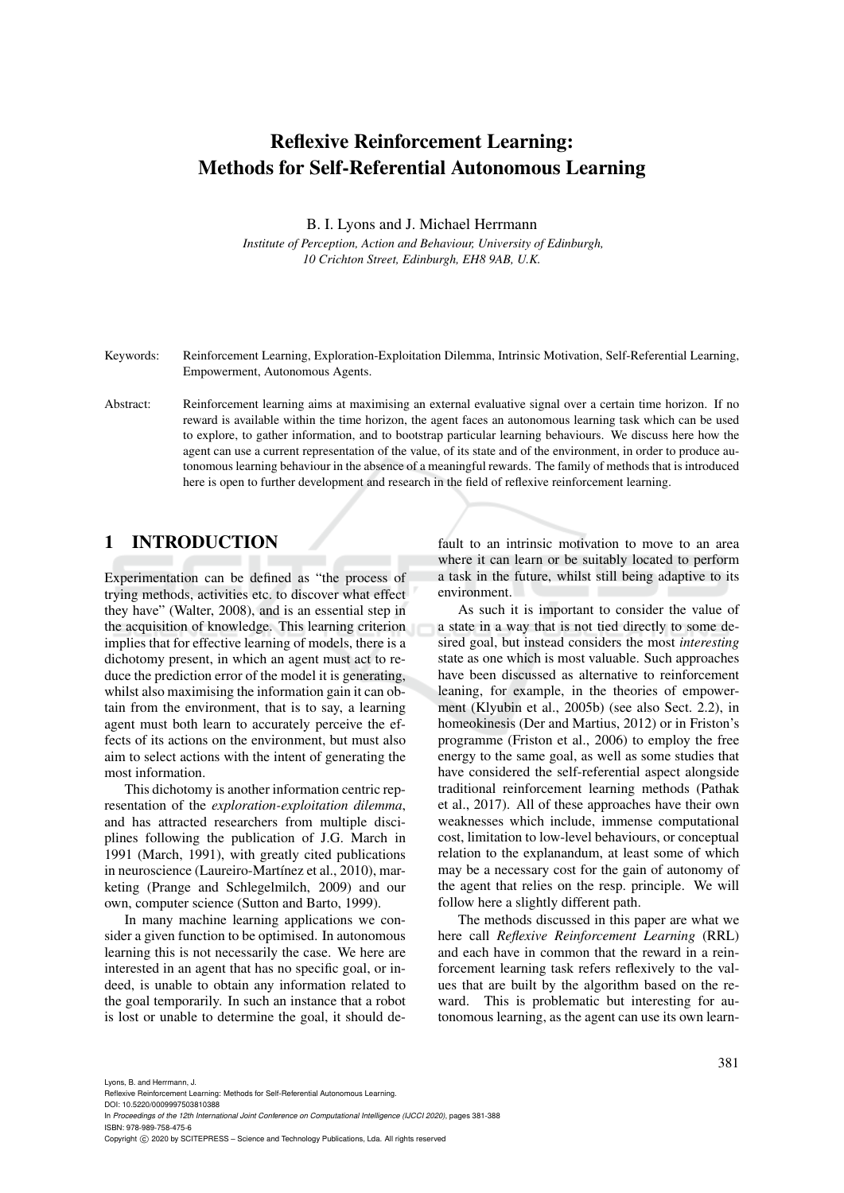# Reflexive Reinforcement Learning: Methods for Self-Referential Autonomous Learning

B. I. Lyons and J. Michael Herrmann

*Institute of Perception, Action and Behaviour, University of Edinburgh, 10 Crichton Street, Edinburgh, EH8 9AB, U.K.*

Keywords: Reinforcement Learning, Exploration-Exploitation Dilemma, Intrinsic Motivation, Self-Referential Learning, Empowerment, Autonomous Agents.

Abstract: Reinforcement learning aims at maximising an external evaluative signal over a certain time horizon. If no reward is available within the time horizon, the agent faces an autonomous learning task which can be used to explore, to gather information, and to bootstrap particular learning behaviours. We discuss here how the agent can use a current representation of the value, of its state and of the environment, in order to produce autonomous learning behaviour in the absence of a meaningful rewards. The family of methods that is introduced here is open to further development and research in the field of reflexive reinforcement learning.

# 1 INTRODUCTION

Experimentation can be defined as "the process of trying methods, activities etc. to discover what effect they have" (Walter, 2008), and is an essential step in the acquisition of knowledge. This learning criterion implies that for effective learning of models, there is a dichotomy present, in which an agent must act to reduce the prediction error of the model it is generating, whilst also maximising the information gain it can obtain from the environment, that is to say, a learning agent must both learn to accurately perceive the effects of its actions on the environment, but must also aim to select actions with the intent of generating the most information.

This dichotomy is another information centric representation of the *exploration-exploitation dilemma*, and has attracted researchers from multiple disciplines following the publication of J.G. March in 1991 (March, 1991), with greatly cited publications in neuroscience (Laureiro-Martínez et al., 2010), marketing (Prange and Schlegelmilch, 2009) and our own, computer science (Sutton and Barto, 1999).

In many machine learning applications we consider a given function to be optimised. In autonomous learning this is not necessarily the case. We here are interested in an agent that has no specific goal, or indeed, is unable to obtain any information related to the goal temporarily. In such an instance that a robot is lost or unable to determine the goal, it should de-

fault to an intrinsic motivation to move to an area where it can learn or be suitably located to perform a task in the future, whilst still being adaptive to its environment.

As such it is important to consider the value of a state in a way that is not tied directly to some desired goal, but instead considers the most *interesting* state as one which is most valuable. Such approaches have been discussed as alternative to reinforcement leaning, for example, in the theories of empowerment (Klyubin et al., 2005b) (see also Sect. 2.2), in homeokinesis (Der and Martius, 2012) or in Friston's programme (Friston et al., 2006) to employ the free energy to the same goal, as well as some studies that have considered the self-referential aspect alongside traditional reinforcement learning methods (Pathak et al., 2017). All of these approaches have their own weaknesses which include, immense computational cost, limitation to low-level behaviours, or conceptual relation to the explanandum, at least some of which may be a necessary cost for the gain of autonomy of the agent that relies on the resp. principle. We will follow here a slightly different path.

The methods discussed in this paper are what we here call *Reflexive Reinforcement Learning* (RRL) and each have in common that the reward in a reinforcement learning task refers reflexively to the values that are built by the algorithm based on the reward. This is problematic but interesting for autonomous learning, as the agent can use its own learn-

Lyons, B. and Herrmann, J.

DOI: 10.5220/0009997503810388

In *Proceedings of the 12th International Joint Conference on Computational Intelligence (IJCCI 2020)*, pages 381-388 ISBN: 978-989-758-475-6

Copyright (C) 2020 by SCITEPRESS - Science and Technology Publications, Lda. All rights reserved

Reflexive Reinforcement Learning: Methods for Self-Referential Autonomous Learning.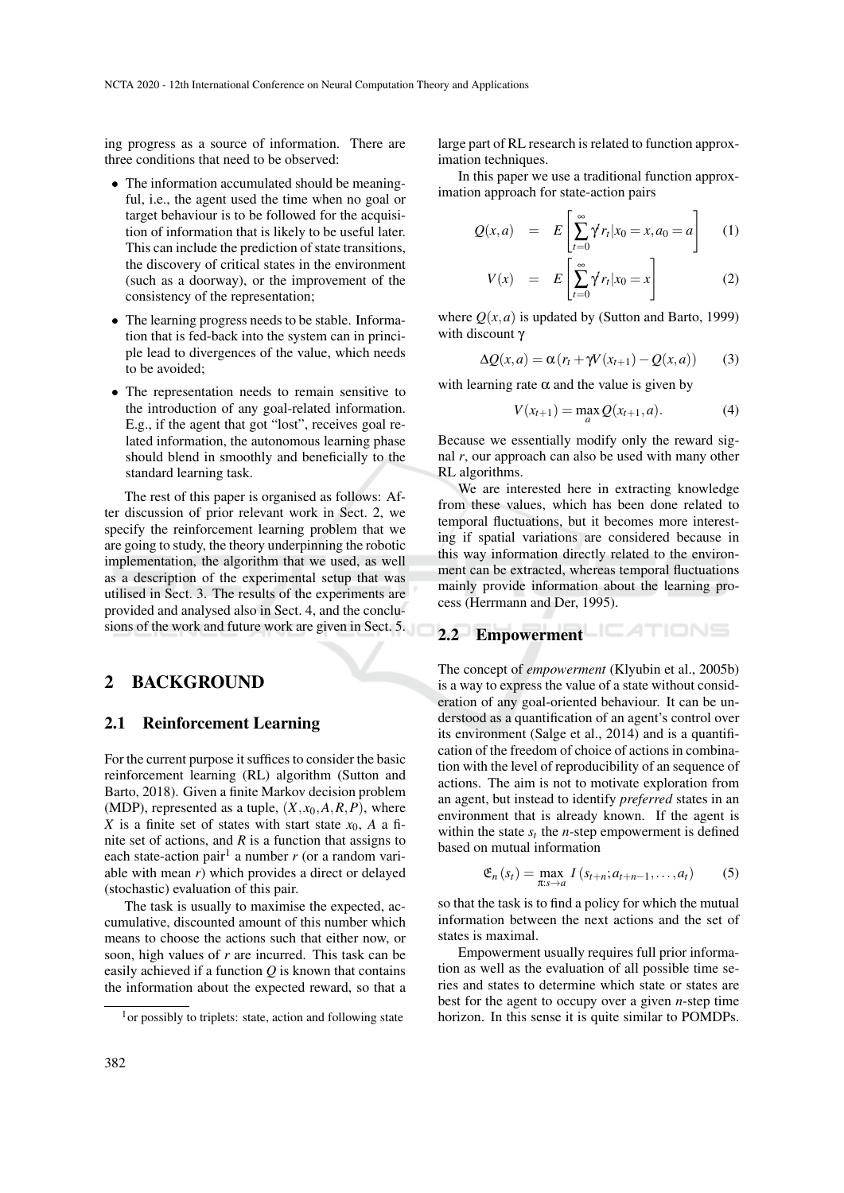ing progress as a source of information. There are three conditions that need to be observed:

- The information accumulated should be meaningful, i.e., the agent used the time when no goal or target behaviour is to be followed for the acquisition of information that is likely to be useful later. This can include the prediction of state transitions, the discovery of critical states in the environment (such as a doorway), or the improvement of the consistency of the representation;
- The learning progress needs to be stable. Information that is fed-back into the system can in principle lead to divergences of the value, which needs to be avoided;
- The representation needs to remain sensitive to the introduction of any goal-related information. E.g., if the agent that got "lost", receives goal related information, the autonomous learning phase should blend in smoothly and beneficially to the standard learning task.

The rest of this paper is organised as follows: After discussion of prior relevant work in Sect. 2, we specify the reinforcement learning problem that we are going to study, the theory underpinning the robotic implementation, the algorithm that we used, as well as a description of the experimental setup that was utilised in Sect. 3. The results of the experiments are provided and analysed also in Sect. 4, and the conclusions of the work and future work are given in Sect. 5.

## 2 BACKGROUND

#### 2.1 Reinforcement Learning

For the current purpose it suffices to consider the basic reinforcement learning (RL) algorithm (Sutton and Barto, 2018). Given a finite Markov decision problem (MDP), represented as a tuple,  $(X, x_0, A, R, P)$ , where *X* is a finite set of states with start state  $x_0$ , *A* a finite set of actions, and  $R$  is a function that assigns to each state-action pair<sup>1</sup> a number  $r$  (or a random variable with mean *r*) which provides a direct or delayed (stochastic) evaluation of this pair.

The task is usually to maximise the expected, accumulative, discounted amount of this number which means to choose the actions such that either now, or soon, high values of *r* are incurred. This task can be easily achieved if a function *Q* is known that contains the information about the expected reward, so that a large part of RL research is related to function approximation techniques.

In this paper we use a traditional function approximation approach for state-action pairs

$$
Q(x,a) = E\left[\sum_{t=0}^{\infty} \gamma^t r_t | x_0 = x, a_0 = a\right]
$$
 (1)

$$
V(x) = E\left[\sum_{t=0}^{\infty} \gamma^t r_t | x_0 = x\right]
$$
 (2)

where  $Q(x, a)$  is updated by (Sutton and Barto, 1999) with discount γ

$$
\Delta Q(x, a) = \alpha (r_t + \gamma V(x_{t+1}) - Q(x, a)) \qquad (3)
$$

with learning rate  $\alpha$  and the value is given by

$$
V(x_{t+1}) = \max_{a} Q(x_{t+1}, a).
$$
 (4)

Because we essentially modify only the reward signal *r*, our approach can also be used with many other RL algorithms.

We are interested here in extracting knowledge from these values, which has been done related to temporal fluctuations, but it becomes more interesting if spatial variations are considered because in this way information directly related to the environment can be extracted, whereas temporal fluctuations mainly provide information about the learning process (Herrmann and Der, 1995).

# 2.2 Empowerment **EATIONS**

The concept of *empowerment* (Klyubin et al., 2005b) is a way to express the value of a state without consideration of any goal-oriented behaviour. It can be understood as a quantification of an agent's control over its environment (Salge et al., 2014) and is a quantification of the freedom of choice of actions in combination with the level of reproducibility of an sequence of actions. The aim is not to motivate exploration from an agent, but instead to identify *preferred* states in an environment that is already known. If the agent is within the state  $s_t$  the *n*-step empowerment is defined based on mutual information

$$
\mathfrak{E}_n(s_t) = \max_{\pi: s \to a} I(s_{t+n}; a_{t+n-1}, \dots, a_t)
$$
 (5)

so that the task is to find a policy for which the mutual information between the next actions and the set of states is maximal.

Empowerment usually requires full prior information as well as the evaluation of all possible time series and states to determine which state or states are best for the agent to occupy over a given *n*-step time horizon. In this sense it is quite similar to POMDPs.

 $<sup>1</sup>$  or possibly to triplets: state, action and following state</sup>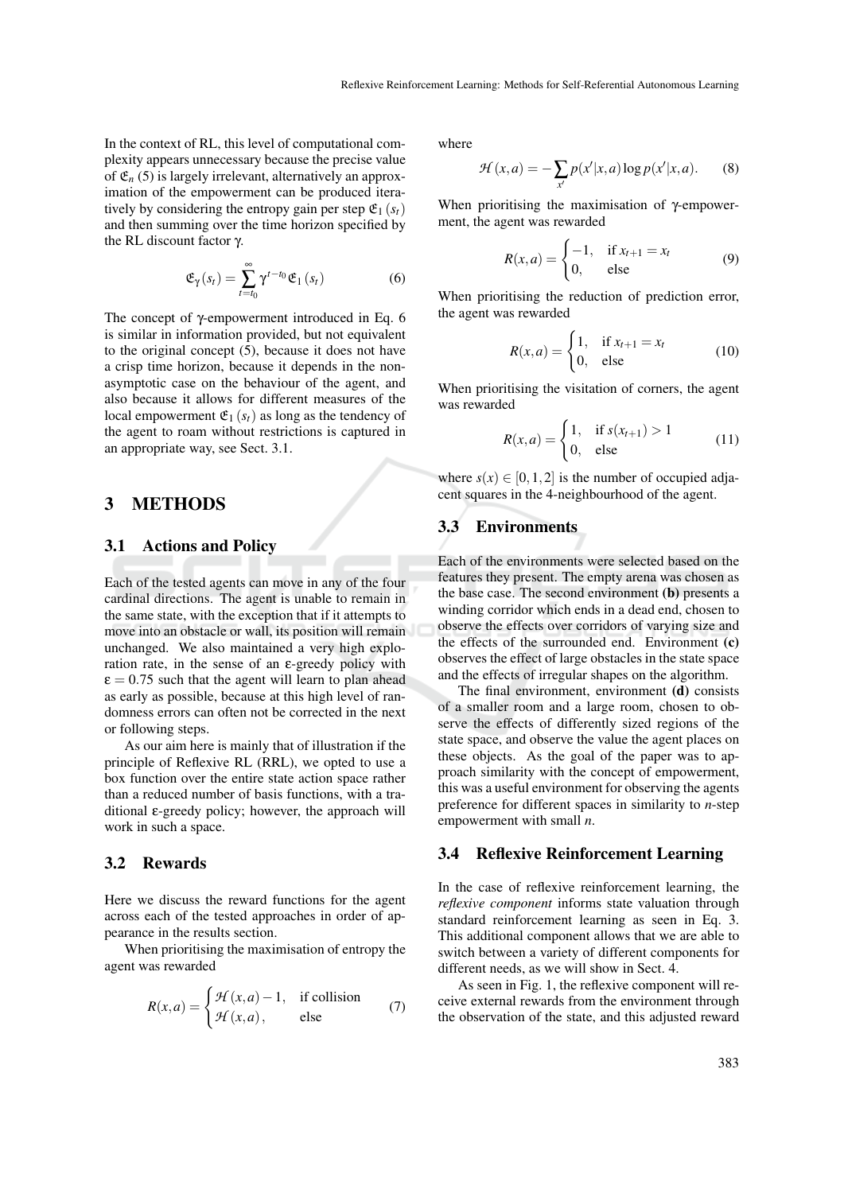In the context of RL, this level of computational complexity appears unnecessary because the precise value of  $\mathfrak{E}_n$  (5) is largely irrelevant, alternatively an approximation of the empowerment can be produced iteratively by considering the entropy gain per step  $\mathfrak{E}_1(s_t)$ and then summing over the time horizon specified by the RL discount factor γ.

$$
\mathfrak{E}_{\gamma}(s_t) = \sum_{t=t_0}^{\infty} \gamma^{t-t_0} \mathfrak{E}_1(s_t)
$$
 (6)

The concept of γ-empowerment introduced in Eq. 6 is similar in information provided, but not equivalent to the original concept (5), because it does not have a crisp time horizon, because it depends in the nonasymptotic case on the behaviour of the agent, and also because it allows for different measures of the local empowerment  $\mathfrak{E}_1$  ( $s_t$ ) as long as the tendency of the agent to roam without restrictions is captured in an appropriate way, see Sect. 3.1.

## 3 METHODS

#### 3.1 Actions and Policy

Each of the tested agents can move in any of the four cardinal directions. The agent is unable to remain in the same state, with the exception that if it attempts to move into an obstacle or wall, its position will remain unchanged. We also maintained a very high exploration rate, in the sense of an ε-greedy policy with  $\epsilon = 0.75$  such that the agent will learn to plan ahead as early as possible, because at this high level of randomness errors can often not be corrected in the next or following steps.

As our aim here is mainly that of illustration if the principle of Reflexive RL (RRL), we opted to use a box function over the entire state action space rather than a reduced number of basis functions, with a traditional ε-greedy policy; however, the approach will work in such a space.

#### 3.2 Rewards

Here we discuss the reward functions for the agent across each of the tested approaches in order of appearance in the results section.

When prioritising the maximisation of entropy the agent was rewarded

$$
R(x,a) = \begin{cases} \mathcal{H}(x,a) - 1, & \text{if collision} \\ \mathcal{H}(x,a), & \text{else} \end{cases} \tag{7}
$$

where

$$
\mathcal{H}(x,a) = -\sum_{x'} p(x'|x,a) \log p(x'|x,a). \tag{8}
$$

When prioritising the maximisation of γ-empowerment, the agent was rewarded

$$
R(x,a) = \begin{cases} -1, & \text{if } x_{t+1} = x_t \\ 0, & \text{else} \end{cases} \tag{9}
$$

When prioritising the reduction of prediction error, the agent was rewarded

$$
R(x,a) = \begin{cases} 1, & \text{if } x_{t+1} = x_t \\ 0, & \text{else} \end{cases} \tag{10}
$$

When prioritising the visitation of corners, the agent was rewarded

$$
R(x,a) = \begin{cases} 1, & \text{if } s(x_{t+1}) > 1 \\ 0, & \text{else} \end{cases}
$$
 (11)

where  $s(x) \in [0, 1, 2]$  is the number of occupied adjacent squares in the 4-neighbourhood of the agent.

## 3.3 Environments

Each of the environments were selected based on the features they present. The empty arena was chosen as the base case. The second environment (b) presents a winding corridor which ends in a dead end, chosen to observe the effects over corridors of varying size and the effects of the surrounded end. Environment (c) observes the effect of large obstacles in the state space and the effects of irregular shapes on the algorithm.

The final environment, environment (d) consists of a smaller room and a large room, chosen to observe the effects of differently sized regions of the state space, and observe the value the agent places on these objects. As the goal of the paper was to approach similarity with the concept of empowerment, this was a useful environment for observing the agents preference for different spaces in similarity to *n*-step empowerment with small *n*.

# 3.4 Reflexive Reinforcement Learning

In the case of reflexive reinforcement learning, the *reflexive component* informs state valuation through standard reinforcement learning as seen in Eq. 3. This additional component allows that we are able to switch between a variety of different components for different needs, as we will show in Sect. 4.

As seen in Fig. 1, the reflexive component will receive external rewards from the environment through the observation of the state, and this adjusted reward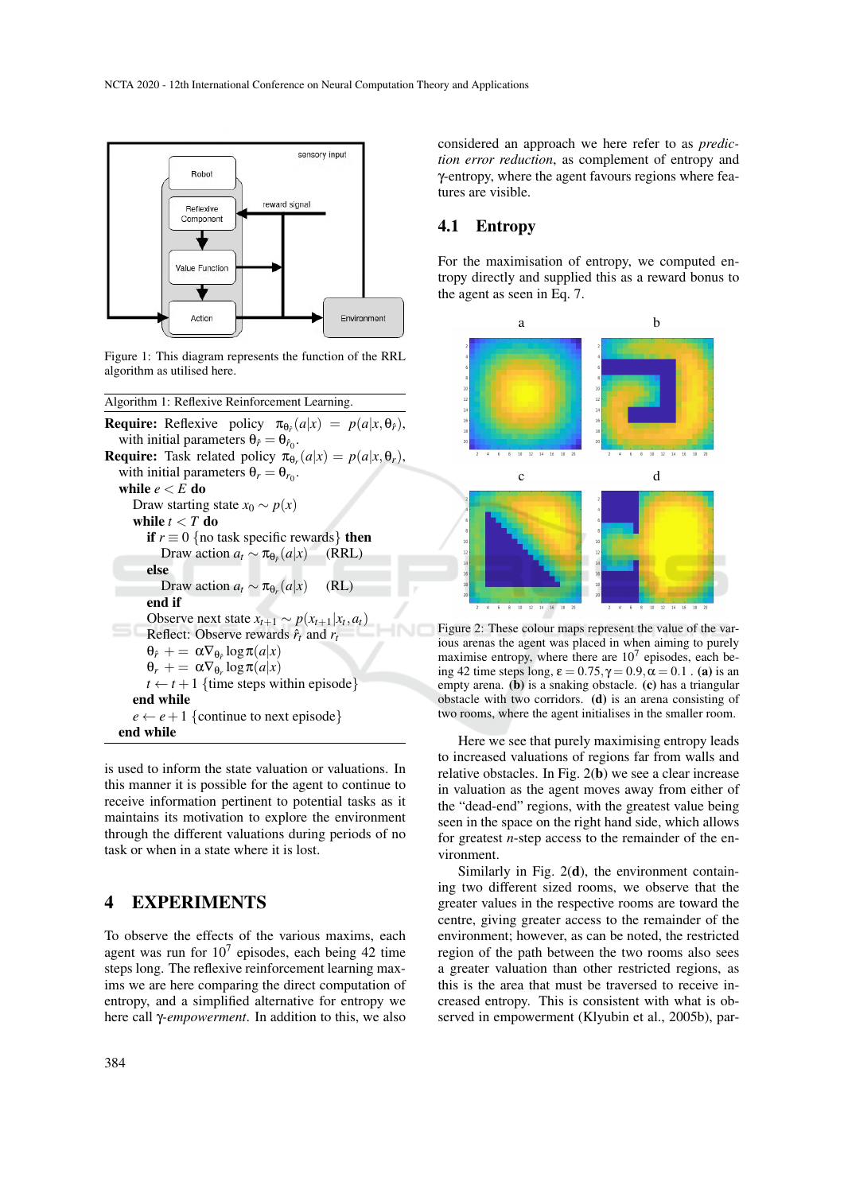

Figure 1: This diagram represents the function of the RRL algorithm as utilised here.

Algorithm 1: Reflexive Reinforcement Learning.

**Require:** Reflexive policy  $\pi_{\theta_{\hat{r}}}(a|x) = p(a|x, \theta_{\hat{r}})$ , with initial parameters  $\theta_{\hat{r}} = \theta_{\hat{r}_0}$ . **Require:** Task related policy  $\pi_{\theta_r}(a|x) = p(a|x, \theta_r)$ , with initial parameters  $\theta_r = \theta_{r_0}$ . while  $e < E$  do Draw starting state  $x_0 \sim p(x)$ while  $t < T$  do **if**  $r \equiv 0$  {no task specific rewards} **then** Draw action  $a_t \sim \pi_{\theta_e}(a|x)$ (*a*|*x*) (RRL) else Draw action  $a_t \sim \pi_{\theta_r}(a|x)$  (RL) end if Observe next state  $x_{t+1} \sim p(x_{t+1} | x_t, a_t)$ Reflect: Observe rewards  $\hat{r}_t$  and  $r_t$  $\theta_{\hat{r}}$  + =  $\alpha \nabla_{\theta_{\hat{r}}} \log \pi(a|x)$  $\theta_r$  + =  $\alpha \nabla_{\theta_r} \log \pi(a|x)$  $t \leftarrow t + 1$  {time steps within episode} end while  $e \leftarrow e + 1$  {continue to next episode} end while

is used to inform the state valuation or valuations. In this manner it is possible for the agent to continue to receive information pertinent to potential tasks as it maintains its motivation to explore the environment through the different valuations during periods of no task or when in a state where it is lost.

## 4 EXPERIMENTS

To observe the effects of the various maxims, each agent was run for  $10^7$  episodes, each being 42 time steps long. The reflexive reinforcement learning maxims we are here comparing the direct computation of entropy, and a simplified alternative for entropy we here call γ*-empowerment*. In addition to this, we also

considered an approach we here refer to as *prediction error reduction*, as complement of entropy and γ-entropy, where the agent favours regions where features are visible.

#### 4.1 Entropy

For the maximisation of entropy, we computed entropy directly and supplied this as a reward bonus to the agent as seen in Eq. 7.



Figure 2: These colour maps represent the value of the various arenas the agent was placed in when aiming to purely maximise entropy, where there are  $10<sup>7</sup>$  episodes, each being 42 time steps long,  $\varepsilon = 0.75$ ,  $\gamma = 0.9$ ,  $\alpha = 0.1$ . (a) is an empty arena. (b) is a snaking obstacle. (c) has a triangular obstacle with two corridors. (d) is an arena consisting of two rooms, where the agent initialises in the smaller room.

Here we see that purely maximising entropy leads to increased valuations of regions far from walls and relative obstacles. In Fig. 2(b) we see a clear increase in valuation as the agent moves away from either of the "dead-end" regions, with the greatest value being seen in the space on the right hand side, which allows for greatest *n*-step access to the remainder of the environment.

Similarly in Fig.  $2(d)$ , the environment containing two different sized rooms, we observe that the greater values in the respective rooms are toward the centre, giving greater access to the remainder of the environment; however, as can be noted, the restricted region of the path between the two rooms also sees a greater valuation than other restricted regions, as this is the area that must be traversed to receive increased entropy. This is consistent with what is observed in empowerment (Klyubin et al., 2005b), par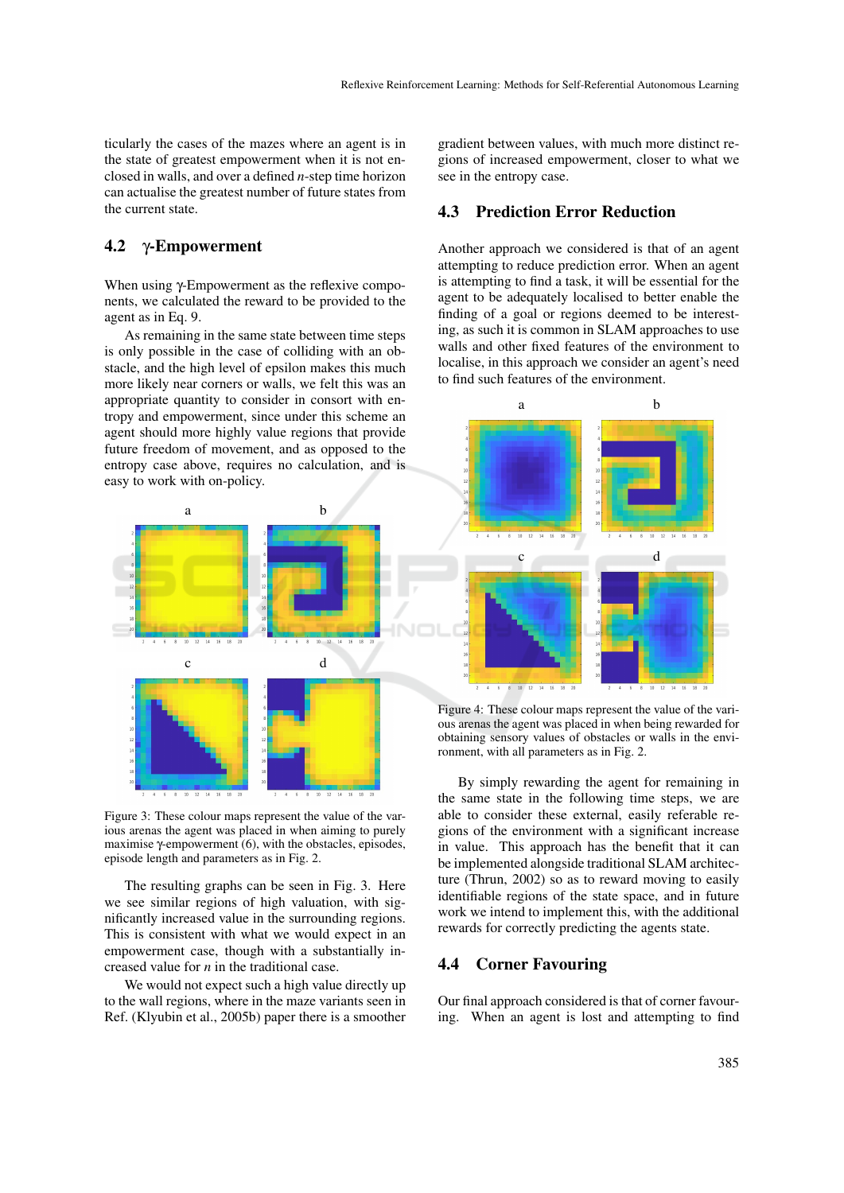ticularly the cases of the mazes where an agent is in the state of greatest empowerment when it is not enclosed in walls, and over a defined *n*-step time horizon can actualise the greatest number of future states from the current state.

#### 4.2 γ-Empowerment

When using γ-Empowerment as the reflexive components, we calculated the reward to be provided to the agent as in Eq. 9.

As remaining in the same state between time steps is only possible in the case of colliding with an obstacle, and the high level of epsilon makes this much more likely near corners or walls, we felt this was an appropriate quantity to consider in consort with entropy and empowerment, since under this scheme an agent should more highly value regions that provide future freedom of movement, and as opposed to the entropy case above, requires no calculation, and is easy to work with on-policy.



Figure 3: These colour maps represent the value of the various arenas the agent was placed in when aiming to purely maximise γ-empowerment (6), with the obstacles, episodes, episode length and parameters as in Fig. 2.

The resulting graphs can be seen in Fig. 3. Here we see similar regions of high valuation, with significantly increased value in the surrounding regions. This is consistent with what we would expect in an empowerment case, though with a substantially increased value for *n* in the traditional case.

We would not expect such a high value directly up to the wall regions, where in the maze variants seen in Ref. (Klyubin et al., 2005b) paper there is a smoother

gradient between values, with much more distinct regions of increased empowerment, closer to what we see in the entropy case.

#### 4.3 Prediction Error Reduction

Another approach we considered is that of an agent attempting to reduce prediction error. When an agent is attempting to find a task, it will be essential for the agent to be adequately localised to better enable the finding of a goal or regions deemed to be interesting, as such it is common in SLAM approaches to use walls and other fixed features of the environment to localise, in this approach we consider an agent's need to find such features of the environment.



Figure 4: These colour maps represent the value of the various arenas the agent was placed in when being rewarded for obtaining sensory values of obstacles or walls in the environment, with all parameters as in Fig. 2.

By simply rewarding the agent for remaining in the same state in the following time steps, we are able to consider these external, easily referable regions of the environment with a significant increase in value. This approach has the benefit that it can be implemented alongside traditional SLAM architecture (Thrun, 2002) so as to reward moving to easily identifiable regions of the state space, and in future work we intend to implement this, with the additional rewards for correctly predicting the agents state.

#### 4.4 Corner Favouring

Our final approach considered is that of corner favouring. When an agent is lost and attempting to find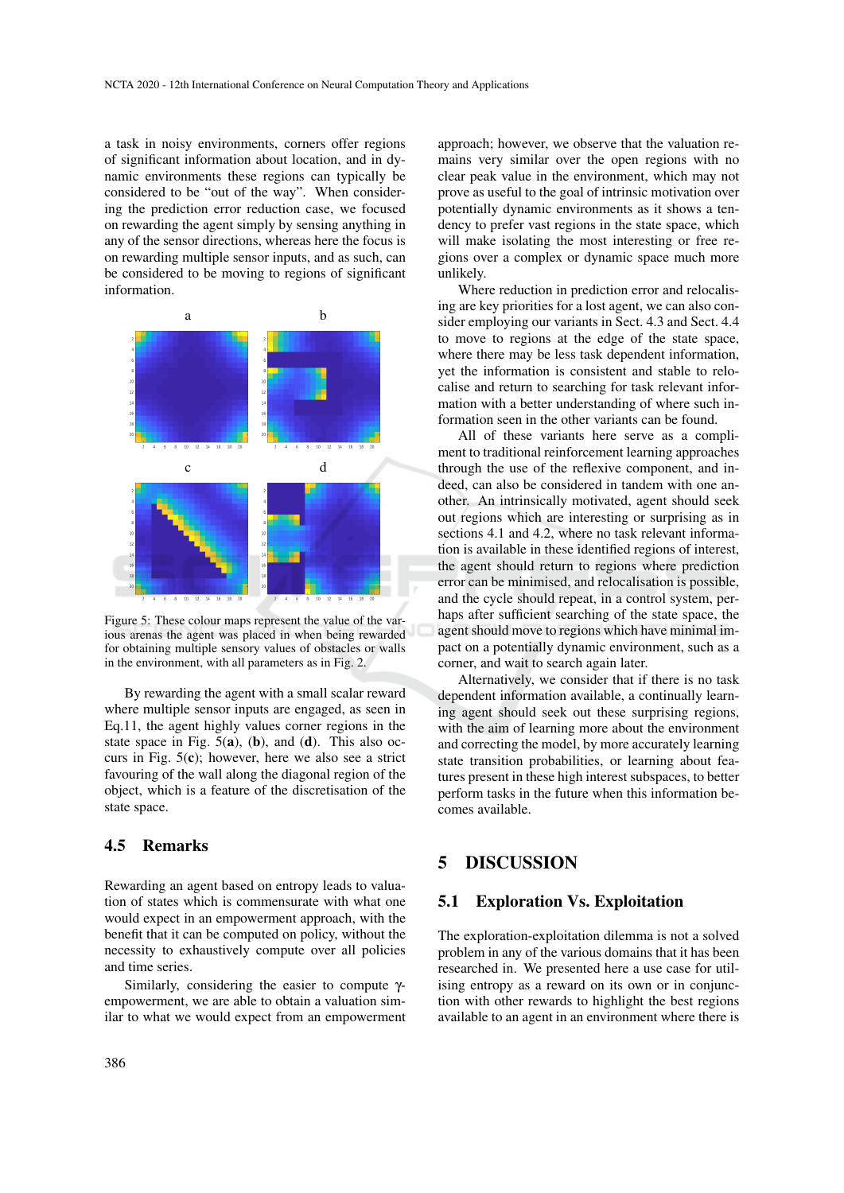a task in noisy environments, corners offer regions of significant information about location, and in dynamic environments these regions can typically be considered to be "out of the way". When considering the prediction error reduction case, we focused on rewarding the agent simply by sensing anything in any of the sensor directions, whereas here the focus is on rewarding multiple sensor inputs, and as such, can be considered to be moving to regions of significant information.



Figure 5: These colour maps represent the value of the various arenas the agent was placed in when being rewarded for obtaining multiple sensory values of obstacles or walls in the environment, with all parameters as in Fig. 2.

By rewarding the agent with a small scalar reward where multiple sensor inputs are engaged, as seen in Eq.11, the agent highly values corner regions in the state space in Fig.  $5(a)$ ,  $(b)$ , and  $(d)$ . This also occurs in Fig.  $5(c)$ ; however, here we also see a strict favouring of the wall along the diagonal region of the object, which is a feature of the discretisation of the state space.

## 4.5 Remarks

Rewarding an agent based on entropy leads to valuation of states which is commensurate with what one would expect in an empowerment approach, with the benefit that it can be computed on policy, without the necessity to exhaustively compute over all policies and time series.

Similarly, considering the easier to compute γempowerment, we are able to obtain a valuation similar to what we would expect from an empowerment

approach; however, we observe that the valuation remains very similar over the open regions with no clear peak value in the environment, which may not prove as useful to the goal of intrinsic motivation over potentially dynamic environments as it shows a tendency to prefer vast regions in the state space, which will make isolating the most interesting or free regions over a complex or dynamic space much more unlikely.

Where reduction in prediction error and relocalising are key priorities for a lost agent, we can also consider employing our variants in Sect. 4.3 and Sect. 4.4 to move to regions at the edge of the state space, where there may be less task dependent information, yet the information is consistent and stable to relocalise and return to searching for task relevant information with a better understanding of where such information seen in the other variants can be found.

All of these variants here serve as a compliment to traditional reinforcement learning approaches through the use of the reflexive component, and indeed, can also be considered in tandem with one another. An intrinsically motivated, agent should seek out regions which are interesting or surprising as in sections 4.1 and 4.2, where no task relevant information is available in these identified regions of interest, the agent should return to regions where prediction error can be minimised, and relocalisation is possible, and the cycle should repeat, in a control system, perhaps after sufficient searching of the state space, the agent should move to regions which have minimal impact on a potentially dynamic environment, such as a corner, and wait to search again later.

Alternatively, we consider that if there is no task dependent information available, a continually learning agent should seek out these surprising regions, with the aim of learning more about the environment and correcting the model, by more accurately learning state transition probabilities, or learning about features present in these high interest subspaces, to better perform tasks in the future when this information becomes available.

# 5 DISCUSSION

#### 5.1 Exploration Vs. Exploitation

The exploration-exploitation dilemma is not a solved problem in any of the various domains that it has been researched in. We presented here a use case for utilising entropy as a reward on its own or in conjunction with other rewards to highlight the best regions available to an agent in an environment where there is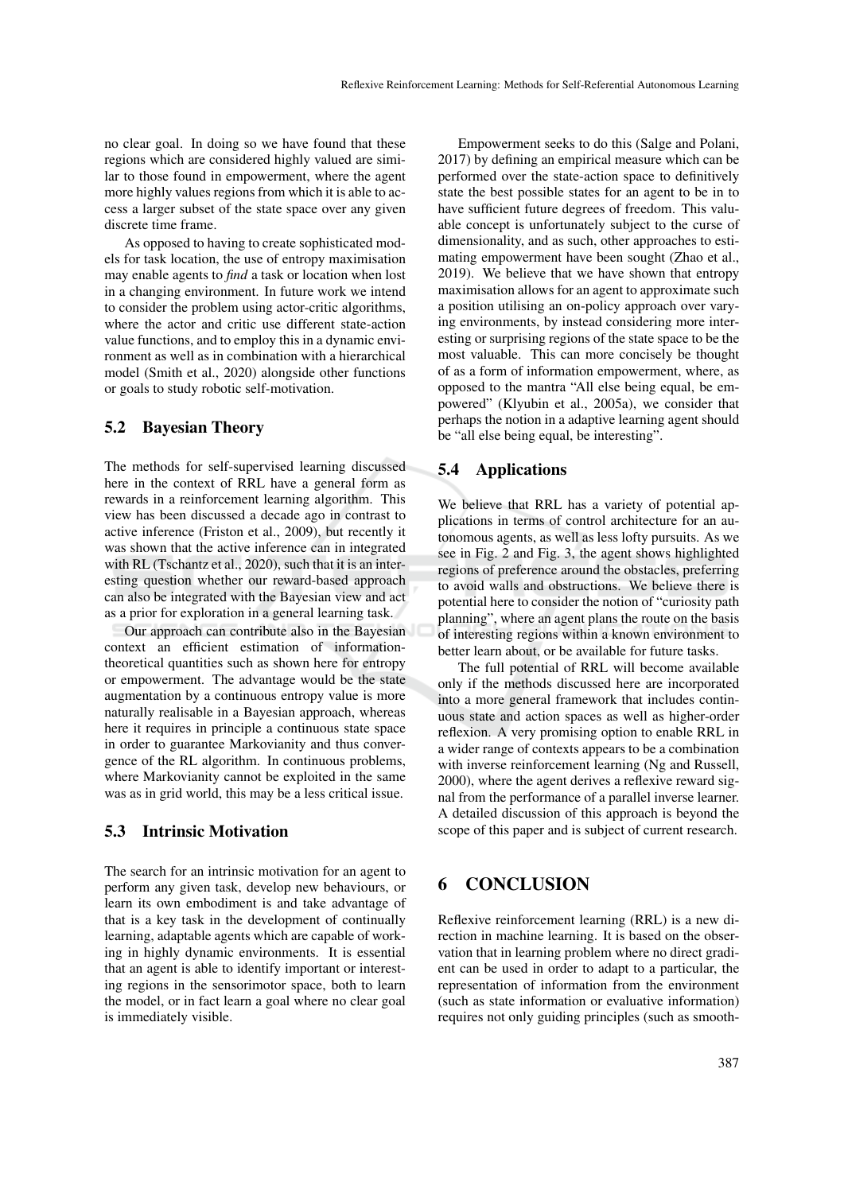no clear goal. In doing so we have found that these regions which are considered highly valued are similar to those found in empowerment, where the agent more highly values regions from which it is able to access a larger subset of the state space over any given discrete time frame.

As opposed to having to create sophisticated models for task location, the use of entropy maximisation may enable agents to *find* a task or location when lost in a changing environment. In future work we intend to consider the problem using actor-critic algorithms, where the actor and critic use different state-action value functions, and to employ this in a dynamic environment as well as in combination with a hierarchical model (Smith et al., 2020) alongside other functions or goals to study robotic self-motivation.

#### 5.2 Bayesian Theory

The methods for self-supervised learning discussed here in the context of RRL have a general form as rewards in a reinforcement learning algorithm. This view has been discussed a decade ago in contrast to active inference (Friston et al., 2009), but recently it was shown that the active inference can in integrated with RL (Tschantz et al., 2020), such that it is an interesting question whether our reward-based approach can also be integrated with the Bayesian view and act as a prior for exploration in a general learning task.

Our approach can contribute also in the Bayesian context an efficient estimation of informationtheoretical quantities such as shown here for entropy or empowerment. The advantage would be the state augmentation by a continuous entropy value is more naturally realisable in a Bayesian approach, whereas here it requires in principle a continuous state space in order to guarantee Markovianity and thus convergence of the RL algorithm. In continuous problems, where Markovianity cannot be exploited in the same was as in grid world, this may be a less critical issue.

#### 5.3 Intrinsic Motivation

The search for an intrinsic motivation for an agent to perform any given task, develop new behaviours, or learn its own embodiment is and take advantage of that is a key task in the development of continually learning, adaptable agents which are capable of working in highly dynamic environments. It is essential that an agent is able to identify important or interesting regions in the sensorimotor space, both to learn the model, or in fact learn a goal where no clear goal is immediately visible.

Empowerment seeks to do this (Salge and Polani, 2017) by defining an empirical measure which can be performed over the state-action space to definitively state the best possible states for an agent to be in to have sufficient future degrees of freedom. This valuable concept is unfortunately subject to the curse of dimensionality, and as such, other approaches to estimating empowerment have been sought (Zhao et al., 2019). We believe that we have shown that entropy maximisation allows for an agent to approximate such a position utilising an on-policy approach over varying environments, by instead considering more interesting or surprising regions of the state space to be the most valuable. This can more concisely be thought of as a form of information empowerment, where, as opposed to the mantra "All else being equal, be empowered" (Klyubin et al., 2005a), we consider that perhaps the notion in a adaptive learning agent should be "all else being equal, be interesting".

#### 5.4 Applications

We believe that RRL has a variety of potential applications in terms of control architecture for an autonomous agents, as well as less lofty pursuits. As we see in Fig. 2 and Fig. 3, the agent shows highlighted regions of preference around the obstacles, preferring to avoid walls and obstructions. We believe there is potential here to consider the notion of "curiosity path planning", where an agent plans the route on the basis of interesting regions within a known environment to better learn about, or be available for future tasks.

The full potential of RRL will become available only if the methods discussed here are incorporated into a more general framework that includes continuous state and action spaces as well as higher-order reflexion. A very promising option to enable RRL in a wider range of contexts appears to be a combination with inverse reinforcement learning (Ng and Russell, 2000), where the agent derives a reflexive reward signal from the performance of a parallel inverse learner. A detailed discussion of this approach is beyond the scope of this paper and is subject of current research.

## 6 CONCLUSION

Reflexive reinforcement learning (RRL) is a new direction in machine learning. It is based on the observation that in learning problem where no direct gradient can be used in order to adapt to a particular, the representation of information from the environment (such as state information or evaluative information) requires not only guiding principles (such as smooth